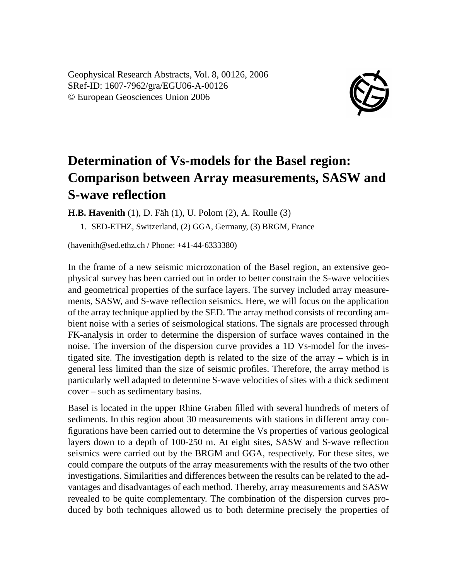Geophysical Research Abstracts, Vol. 8, 00126, 2006 SRef-ID: 1607-7962/gra/EGU06-A-00126 © European Geosciences Union 2006



## **Determination of Vs-models for the Basel region: Comparison between Array measurements, SASW and S-wave reflection**

**H.B. Havenith** (1), D. Fäh (1), U. Polom (2), A. Roulle (3)

1. SED-ETHZ, Switzerland, (2) GGA, Germany, (3) BRGM, France

(havenith@sed.ethz.ch / Phone: +41-44-6333380)

In the frame of a new seismic microzonation of the Basel region, an extensive geophysical survey has been carried out in order to better constrain the S-wave velocities and geometrical properties of the surface layers. The survey included array measurements, SASW, and S-wave reflection seismics. Here, we will focus on the application of the array technique applied by the SED. The array method consists of recording ambient noise with a series of seismological stations. The signals are processed through FK-analysis in order to determine the dispersion of surface waves contained in the noise. The inversion of the dispersion curve provides a 1D Vs-model for the investigated site. The investigation depth is related to the size of the array – which is in general less limited than the size of seismic profiles. Therefore, the array method is particularly well adapted to determine S-wave velocities of sites with a thick sediment cover – such as sedimentary basins.

Basel is located in the upper Rhine Graben filled with several hundreds of meters of sediments. In this region about 30 measurements with stations in different array configurations have been carried out to determine the Vs properties of various geological layers down to a depth of 100-250 m. At eight sites, SASW and S-wave reflection seismics were carried out by the BRGM and GGA, respectively. For these sites, we could compare the outputs of the array measurements with the results of the two other investigations. Similarities and differences between the results can be related to the advantages and disadvantages of each method. Thereby, array measurements and SASW revealed to be quite complementary. The combination of the dispersion curves produced by both techniques allowed us to both determine precisely the properties of